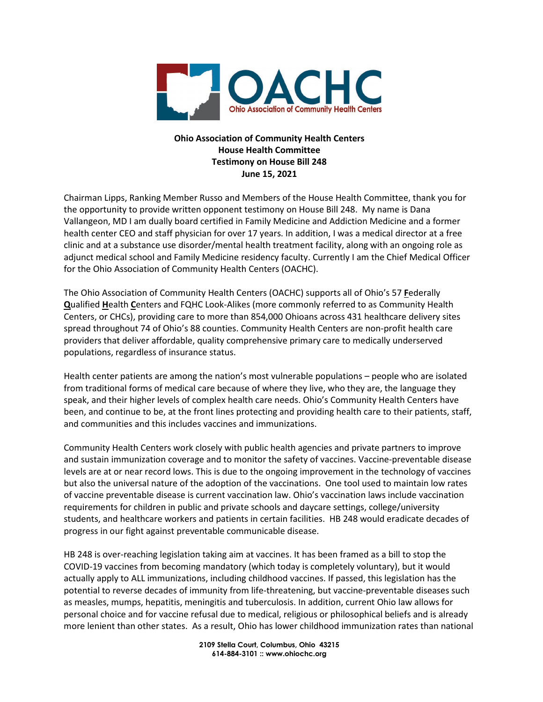

## **Ohio Association of Community Health Centers House Health Committee Testimony on House Bill 248 June 15, 2021**

Chairman Lipps, Ranking Member Russo and Members of the House Health Committee, thank you for the opportunity to provide written opponent testimony on House Bill 248. My name is Dana Vallangeon, MD I am dually board certified in Family Medicine and Addiction Medicine and a former health center CEO and staff physician for over 17 years. In addition, I was a medical director at a free clinic and at a substance use disorder/mental health treatment facility, along with an ongoing role as adjunct medical school and Family Medicine residency faculty. Currently I am the Chief Medical Officer for the Ohio Association of Community Health Centers (OACHC).

The Ohio Association of Community Health Centers (OACHC) supports all of Ohio's 57 **F**ederally **Q**ualified **H**ealth **C**enters and FQHC Look-Alikes (more commonly referred to as Community Health Centers, or CHCs), providing care to more than 854,000 Ohioans across 431 healthcare delivery sites spread throughout 74 of Ohio's 88 counties. Community Health Centers are non-profit health care providers that deliver affordable, quality comprehensive primary care to medically underserved populations, regardless of insurance status.

Health center patients are among the nation's most vulnerable populations – people who are isolated from traditional forms of medical care because of where they live, who they are, the language they speak, and their higher levels of complex health care needs. Ohio's Community Health Centers have been, and continue to be, at the front lines protecting and providing health care to their patients, staff, and communities and this includes vaccines and immunizations.

Community Health Centers work closely with public health agencies and private partners to improve and sustain immunization coverage and to monitor the safety of vaccines. Vaccine-preventable disease levels are at or near record lows. This is due to the ongoing improvement in the technology of vaccines but also the universal nature of the adoption of the vaccinations. One tool used to maintain low rates of vaccine preventable disease is current vaccination law. Ohio's vaccination laws include vaccination requirements for children in public and private schools and daycare settings, college/university students, and healthcare workers and patients in certain facilities. HB 248 would eradicate decades of progress in our fight against preventable communicable disease.

HB 248 is over-reaching legislation taking aim at vaccines. It has been framed as a bill to stop the COVID-19 vaccines from becoming mandatory (which today is completely voluntary), but it would actually apply to ALL immunizations, including childhood vaccines. If passed, this legislation has the potential to reverse decades of immunity from life-threatening, but vaccine-preventable diseases such as measles, mumps, hepatitis, meningitis and tuberculosis. In addition, current Ohio law allows for personal choice and for vaccine refusal due to medical, religious or philosophical beliefs and is already more lenient than other states. As a result, Ohio has lower childhood immunization rates than national

> **2109 Stella Court, Columbus, Ohio 43215 614-884-3101 :: www.ohiochc.org**